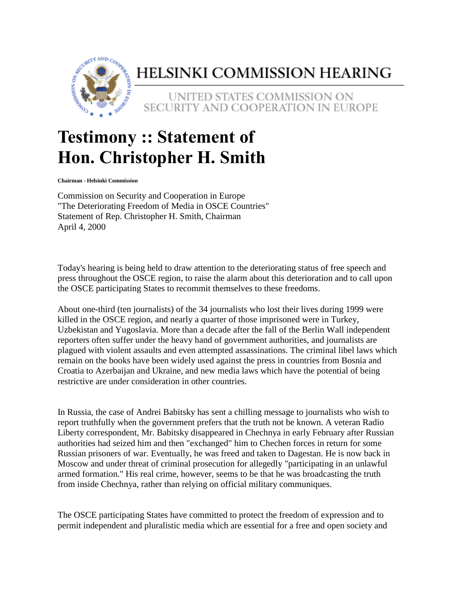

## HELSINKI COMMISSION HEARING

UNITED STATES COMMISSION ON SECURITY AND COOPERATION IN EUROPE

## **Testimony :: Statement of Hon. Christopher H. Smith**

**Chairman - Helsinki Commission**

Commission on Security and Cooperation in Europe "The Deteriorating Freedom of Media in OSCE Countries" Statement of Rep. Christopher H. Smith, Chairman April 4, 2000

Today's hearing is being held to draw attention to the deteriorating status of free speech and press throughout the OSCE region, to raise the alarm about this deterioration and to call upon the OSCE participating States to recommit themselves to these freedoms.

About one-third (ten journalists) of the 34 journalists who lost their lives during 1999 were killed in the OSCE region, and nearly a quarter of those imprisoned were in Turkey, Uzbekistan and Yugoslavia. More than a decade after the fall of the Berlin Wall independent reporters often suffer under the heavy hand of government authorities, and journalists are plagued with violent assaults and even attempted assassinations. The criminal libel laws which remain on the books have been widely used against the press in countries from Bosnia and Croatia to Azerbaijan and Ukraine, and new media laws which have the potential of being restrictive are under consideration in other countries.

In Russia, the case of Andrei Babitsky has sent a chilling message to journalists who wish to report truthfully when the government prefers that the truth not be known. A veteran Radio Liberty correspondent, Mr. Babitsky disappeared in Chechnya in early February after Russian authorities had seized him and then "exchanged" him to Chechen forces in return for some Russian prisoners of war. Eventually, he was freed and taken to Dagestan. He is now back in Moscow and under threat of criminal prosecution for allegedly "participating in an unlawful armed formation." His real crime, however, seems to be that he was broadcasting the truth from inside Chechnya, rather than relying on official military communiques.

The OSCE participating States have committed to protect the freedom of expression and to permit independent and pluralistic media which are essential for a free and open society and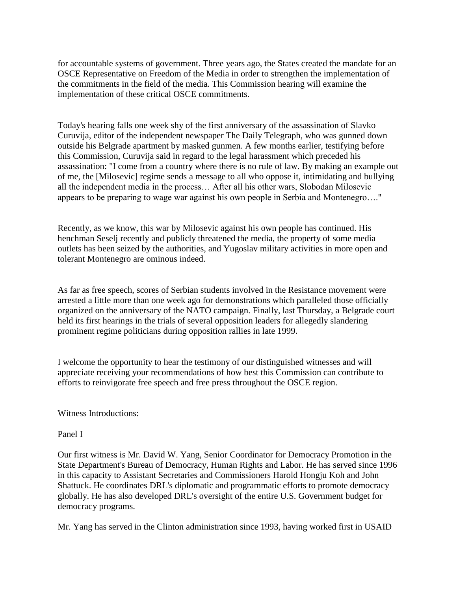for accountable systems of government. Three years ago, the States created the mandate for an OSCE Representative on Freedom of the Media in order to strengthen the implementation of the commitments in the field of the media. This Commission hearing will examine the implementation of these critical OSCE commitments.

Today's hearing falls one week shy of the first anniversary of the assassination of Slavko Curuvija, editor of the independent newspaper The Daily Telegraph, who was gunned down outside his Belgrade apartment by masked gunmen. A few months earlier, testifying before this Commission, Curuvija said in regard to the legal harassment which preceded his assassination: "I come from a country where there is no rule of law. By making an example out of me, the [Milosevic] regime sends a message to all who oppose it, intimidating and bullying all the independent media in the process… After all his other wars, Slobodan Milosevic appears to be preparing to wage war against his own people in Serbia and Montenegro…."

Recently, as we know, this war by Milosevic against his own people has continued. His henchman Seselj recently and publicly threatened the media, the property of some media outlets has been seized by the authorities, and Yugoslav military activities in more open and tolerant Montenegro are ominous indeed.

As far as free speech, scores of Serbian students involved in the Resistance movement were arrested a little more than one week ago for demonstrations which paralleled those officially organized on the anniversary of the NATO campaign. Finally, last Thursday, a Belgrade court held its first hearings in the trials of several opposition leaders for allegedly slandering prominent regime politicians during opposition rallies in late 1999.

I welcome the opportunity to hear the testimony of our distinguished witnesses and will appreciate receiving your recommendations of how best this Commission can contribute to efforts to reinvigorate free speech and free press throughout the OSCE region.

Witness Introductions:

## Panel I

Our first witness is Mr. David W. Yang, Senior Coordinator for Democracy Promotion in the State Department's Bureau of Democracy, Human Rights and Labor. He has served since 1996 in this capacity to Assistant Secretaries and Commissioners Harold Hongju Koh and John Shattuck. He coordinates DRL's diplomatic and programmatic efforts to promote democracy globally. He has also developed DRL's oversight of the entire U.S. Government budget for democracy programs.

Mr. Yang has served in the Clinton administration since 1993, having worked first in USAID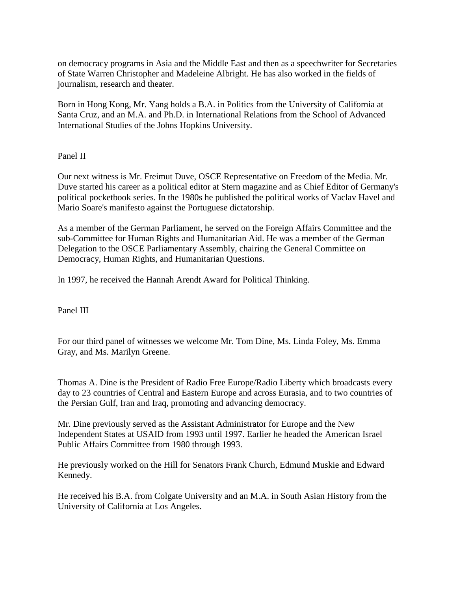on democracy programs in Asia and the Middle East and then as a speechwriter for Secretaries of State Warren Christopher and Madeleine Albright. He has also worked in the fields of journalism, research and theater.

Born in Hong Kong, Mr. Yang holds a B.A. in Politics from the University of California at Santa Cruz, and an M.A. and Ph.D. in International Relations from the School of Advanced International Studies of the Johns Hopkins University.

Panel II

Our next witness is Mr. Freimut Duve, OSCE Representative on Freedom of the Media. Mr. Duve started his career as a political editor at Stern magazine and as Chief Editor of Germany's political pocketbook series. In the 1980s he published the political works of Vaclav Havel and Mario Soare's manifesto against the Portuguese dictatorship.

As a member of the German Parliament, he served on the Foreign Affairs Committee and the sub-Committee for Human Rights and Humanitarian Aid. He was a member of the German Delegation to the OSCE Parliamentary Assembly, chairing the General Committee on Democracy, Human Rights, and Humanitarian Questions.

In 1997, he received the Hannah Arendt Award for Political Thinking.

Panel III

For our third panel of witnesses we welcome Mr. Tom Dine, Ms. Linda Foley, Ms. Emma Gray, and Ms. Marilyn Greene.

Thomas A. Dine is the President of Radio Free Europe/Radio Liberty which broadcasts every day to 23 countries of Central and Eastern Europe and across Eurasia, and to two countries of the Persian Gulf, Iran and Iraq, promoting and advancing democracy.

Mr. Dine previously served as the Assistant Administrator for Europe and the New Independent States at USAID from 1993 until 1997. Earlier he headed the American Israel Public Affairs Committee from 1980 through 1993.

He previously worked on the Hill for Senators Frank Church, Edmund Muskie and Edward Kennedy.

He received his B.A. from Colgate University and an M.A. in South Asian History from the University of California at Los Angeles.